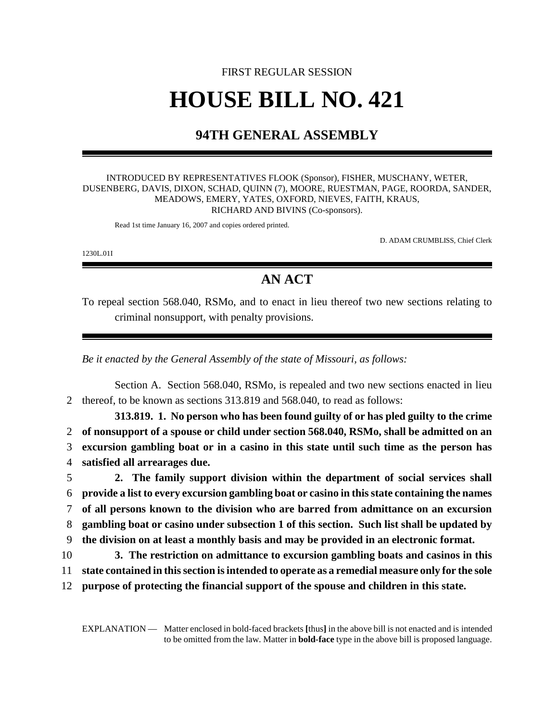# FIRST REGULAR SESSION **HOUSE BILL NO. 421**

## **94TH GENERAL ASSEMBLY**

#### INTRODUCED BY REPRESENTATIVES FLOOK (Sponsor), FISHER, MUSCHANY, WETER, DUSENBERG, DAVIS, DIXON, SCHAD, QUINN (7), MOORE, RUESTMAN, PAGE, ROORDA, SANDER, MEADOWS, EMERY, YATES, OXFORD, NIEVES, FAITH, KRAUS, RICHARD AND BIVINS (Co-sponsors).

Read 1st time January 16, 2007 and copies ordered printed.

D. ADAM CRUMBLISS, Chief Clerk

1230L.01I

### **AN ACT**

To repeal section 568.040, RSMo, and to enact in lieu thereof two new sections relating to criminal nonsupport, with penalty provisions.

*Be it enacted by the General Assembly of the state of Missouri, as follows:*

Section A. Section 568.040, RSMo, is repealed and two new sections enacted in lieu 2 thereof, to be known as sections 313.819 and 568.040, to read as follows:

**313.819. 1. No person who has been found guilty of or has pled guilty to the crime of nonsupport of a spouse or child under section 568.040, RSMo, shall be admitted on an excursion gambling boat or in a casino in this state until such time as the person has satisfied all arrearages due.**

 **2. The family support division within the department of social services shall provide a list to every excursion gambling boat or casino in this state containing the names of all persons known to the division who are barred from admittance on an excursion gambling boat or casino under subsection 1 of this section. Such list shall be updated by the division on at least a monthly basis and may be provided in an electronic format.**

- 10 **3. The restriction on admittance to excursion gambling boats and casinos in this**
- 11 **state contained in this section is intended to operate as a remedial measure only for the sole**
- 12 **purpose of protecting the financial support of the spouse and children in this state.**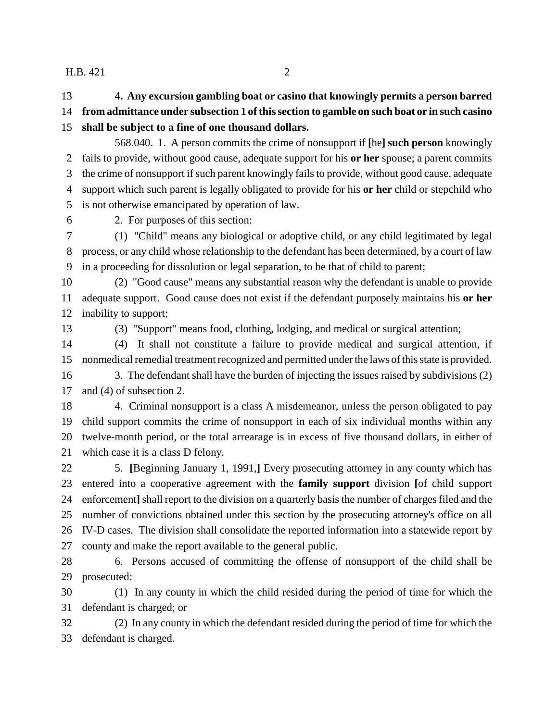#### H.B. 421 2

**4. Any excursion gambling boat or casino that knowingly permits a person barred**

**from admittance under subsection 1 of this section to gamble on such boat or in such casino**

**shall be subject to a fine of one thousand dollars.**

568.040. 1. A person commits the crime of nonsupport if **[**he**] such person** knowingly fails to provide, without good cause, adequate support for his **or her** spouse; a parent commits the crime of nonsupport if such parent knowingly fails to provide, without good cause, adequate support which such parent is legally obligated to provide for his **or her** child or stepchild who is not otherwise emancipated by operation of law.

2. For purposes of this section:

 (1) "Child" means any biological or adoptive child, or any child legitimated by legal process, or any child whose relationship to the defendant has been determined, by a court of law in a proceeding for dissolution or legal separation, to be that of child to parent;

 (2) "Good cause" means any substantial reason why the defendant is unable to provide adequate support. Good cause does not exist if the defendant purposely maintains his **or her** inability to support;

(3) "Support" means food, clothing, lodging, and medical or surgical attention;

 (4) It shall not constitute a failure to provide medical and surgical attention, if nonmedical remedial treatment recognized and permitted under the laws of this state is provided.

 3. The defendant shall have the burden of injecting the issues raised by subdivisions (2) and (4) of subsection 2.

 4. Criminal nonsupport is a class A misdemeanor, unless the person obligated to pay child support commits the crime of nonsupport in each of six individual months within any twelve-month period, or the total arrearage is in excess of five thousand dollars, in either of which case it is a class D felony.

22 5. **[**Beginning January 1, 1991,**]** Every prosecuting attorney in any county which has entered into a cooperative agreement with the **family support** division **[**of child support enforcement**]** shall report to the division on a quarterly basis the number of charges filed and the number of convictions obtained under this section by the prosecuting attorney's office on all IV-D cases. The division shall consolidate the reported information into a statewide report by county and make the report available to the general public.

 6. Persons accused of committing the offense of nonsupport of the child shall be prosecuted:

 (1) In any county in which the child resided during the period of time for which the defendant is charged; or

 (2) In any county in which the defendant resided during the period of time for which the defendant is charged.